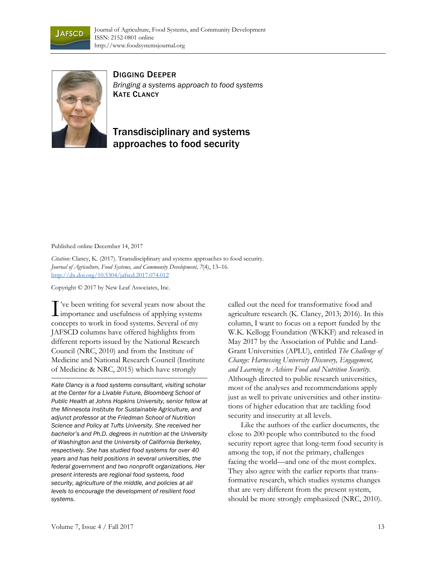



DIGGING DEEPER *Bringing a systems approach to food systems*  KATE CLANCY

## Transdisciplinary and systems approaches to food security

Published online December 14, 2017

*Citation:* Clancy, K. (2017). Transdisciplinary and systems approaches to food security. *Journal of Agriculture, Food Systems, and Community Development, 7*(4), 13–16. http://dx.doi.org/10.5304/jafscd.2017.074.012

Copyright © 2017 by New Leaf Associates, Inc.

've been writing for several years now about the T've been writing for several years now about the importance and usefulness of applying systems concepts to work in food systems. Several of my JAFSCD columns have offered highlights from different reports issued by the National Research Council (NRC, 2010) and from the Institute of Medicine and National Research Council (Institute of Medicine & NRC, 2015) which have strongly

*Kate Clancy is a food systems consultant, visiting scholar at the Center for a Livable Future, Bloomberg School of Public Health at Johns Hopkins University, senior fellow at the Minnesota Institute for Sustainable Agriculture, and adjunct professor at the Friedman School of Nutrition Science and Policy at Tufts University. She received her bachelor's and Ph.D. degrees in nutrition at the University of Washington and the University of California Berkeley, respectively. She has studied food systems for over 40 years and has held positions in several universities, the federal government and two nonprofit organizations. Her present interests are regional food systems, food security, agriculture of the middle, and policies at all levels to encourage the development of resilient food systems.* 

called out the need for transformative food and agriculture research (K. Clancy, 2013; 2016). In this column, I want to focus on a report funded by the W.K. Kellogg Foundation (WKKF) and released in May 2017 by the Association of Public and Land-Grant Universities (APLU), entitled *The Challenge of Change: Harnessing University Discovery, Engagement, and Learning to Achieve Food and Nutrition Security.* Although directed to public research universities, most of the analyses and recommendations apply just as well to private universities and other institutions of higher education that are tackling food security and insecurity at all levels.

 Like the authors of the earlier documents, the close to 200 people who contributed to the food security report agree that long-term food security is among the top, if not the primary, challenges facing the world—and one of the most complex. They also agree with the earlier reports that transformative research, which studies systems changes that are very different from the present system, should be more strongly emphasized (NRC, 2010).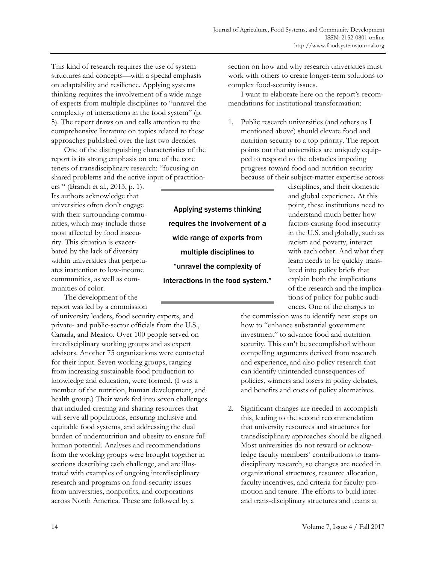This kind of research requires the use of system structures and concepts—with a special emphasis on adaptability and resilience. Applying systems thinking requires the involvement of a wide range of experts from multiple disciplines to "unravel the complexity of interactions in the food system" (p. 5). The report draws on and calls attention to the comprehensive literature on topics related to these approaches published over the last two decades.

 One of the distinguishing characteristics of the report is its strong emphasis on one of the core tenets of transdisciplinary research: "focusing on shared problems and the active input of practition-

ers " (Brandt et al., 2013, p. 1). Its authors acknowledge that universities often don't engage with their surrounding communities, which may include those most affected by food insecurity. This situation is exacerbated by the lack of diversity within universities that perpetuates inattention to low-income communities, as well as communities of color.

 The development of the report was led by a commission

of university leaders, food security experts, and private- and public-sector officials from the U.S., Canada, and Mexico. Over 100 people served on interdisciplinary working groups and as expert advisors. Another 75 organizations were contacted for their input. Seven working groups, ranging from increasing sustainable food production to knowledge and education, were formed. (I was a member of the nutrition, human development, and health group.) Their work fed into seven challenges that included creating and sharing resources that will serve all populations, ensuring inclusive and equitable food systems, and addressing the dual burden of undernutrition and obesity to ensure full human potential. Analyses and recommendations from the working groups were brought together in sections describing each challenge, and are illustrated with examples of ongoing interdisciplinary research and programs on food-security issues from universities, nonprofits, and corporations across North America. These are followed by a

Applying systems thinking requires the involvement of a wide range of experts from multiple disciplines to "unravel the complexity of interactions in the food system."

section on how and why research universities must work with others to create longer-term solutions to complex food-security issues.

 I want to elaborate here on the report's recommendations for institutional transformation:

1. Public research universities (and others as I mentioned above) should elevate food and nutrition security to a top priority. The report points out that universities are uniquely equipped to respond to the obstacles impeding progress toward food and nutrition security because of their subject-matter expertise across

disciplines, and their domestic and global experience. At this point, these institutions need to understand much better how factors causing food insecurity in the U.S. and globally, such as racism and poverty, interact with each other. And what they learn needs to be quickly translated into policy briefs that explain both the implications of the research and the implications of policy for public audiences. One of the charges to

the commission was to identify next steps on how to "enhance substantial government investment" to advance food and nutrition security. This can't be accomplished without compelling arguments derived from research and experience, and also policy research that can identify unintended consequences of policies, winners and losers in policy debates, and benefits and costs of policy alternatives.

2. Significant changes are needed to accomplish this, leading to the second recommendation that university resources and structures for transdisciplinary approaches should be aligned. Most universities do not reward or acknowledge faculty members' contributions to transdisciplinary research, so changes are needed in organizational structures, resource allocation, faculty incentives, and criteria for faculty promotion and tenure. The efforts to build interand trans-disciplinary structures and teams at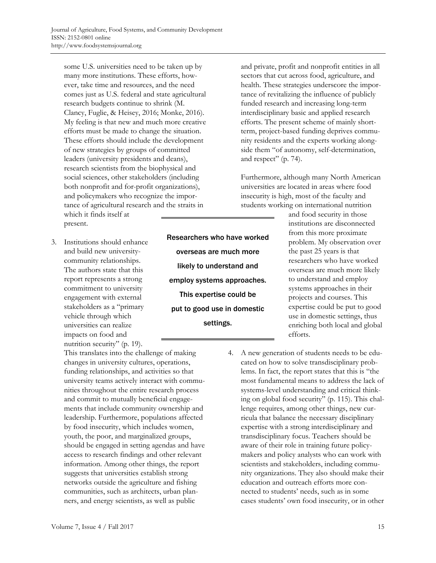some U.S. universities need to be taken up by many more institutions. These efforts, however, take time and resources, and the need comes just as U.S. federal and state agricultural research budgets continue to shrink (M. Clancy, Fuglie, & Heisey, 2016; Monke, 2016). My feeling is that new and much more creative efforts must be made to change the situation. These efforts should include the development of new strategies by groups of committed leaders (university presidents and deans), research scientists from the biophysical and social sciences, other stakeholders (including both nonprofit and for-profit organizations), and policymakers who recognize the importance of agricultural research and the straits in which it finds itself at

present.

3. Institutions should enhance and build new universitycommunity relationships. The authors state that this report represents a strong commitment to university engagement with external stakeholders as a "primary vehicle through which universities can realize impacts on food and nutrition security" (p. 19).

This translates into the challenge of making changes in university cultures, operations, funding relationships, and activities so that university teams actively interact with communities throughout the entire research process and commit to mutually beneficial engagements that include community ownership and leadership. Furthermore, populations affected by food insecurity, which includes women, youth, the poor, and marginalized groups, should be engaged in setting agendas and have access to research findings and other relevant information. Among other things, the report suggests that universities establish strong networks outside the agriculture and fishing communities, such as architects, urban planners, and energy scientists, as well as public

Researchers who have worked overseas are much more likely to understand and employ systems approaches. This expertise could be put to good use in domestic settings.

and private, profit and nonprofit entities in all sectors that cut across food, agriculture, and health. These strategies underscore the importance of revitalizing the influence of publicly funded research and increasing long-term interdisciplinary basic and applied research efforts. The present scheme of mainly shortterm, project-based funding deprives community residents and the experts working alongside them "of autonomy, self-determination, and respect" (p. 74).

Furthermore, although many North American universities are located in areas where food insecurity is high, most of the faculty and students working on international nutrition

> and food security in those institutions are disconnected from this more proximate problem. My observation over the past 25 years is that researchers who have worked overseas are much more likely to understand and employ systems approaches in their projects and courses. This expertise could be put to good use in domestic settings, thus enriching both local and global efforts.

4. A new generation of students needs to be educated on how to solve transdisciplinary problems. In fact, the report states that this is "the most fundamental means to address the lack of systems-level understanding and critical thinking on global food security" (p. 115). This challenge requires, among other things, new curricula that balance the necessary disciplinary expertise with a strong interdisciplinary and transdisciplinary focus. Teachers should be aware of their role in training future policymakers and policy analysts who can work with scientists and stakeholders, including community organizations. They also should make their education and outreach efforts more connected to students' needs, such as in some cases students' own food insecurity, or in other